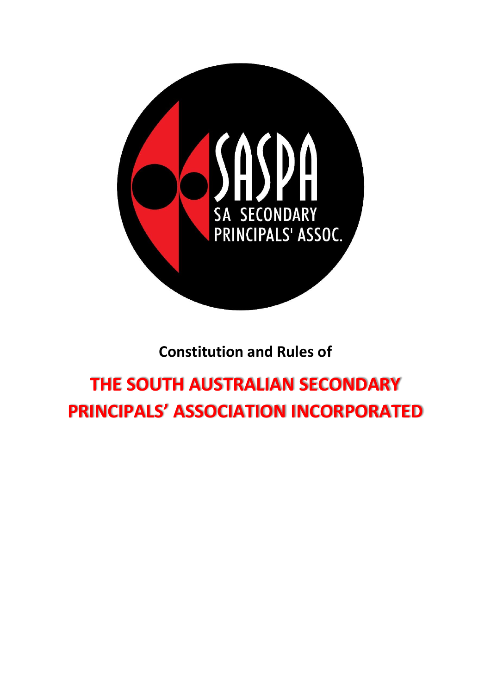

# **Constitution and Rules of**

# **THE SOUTH AUSTRALIAN SECONDARY PRINCIPALS' ASSOCIATION INCORPORATED**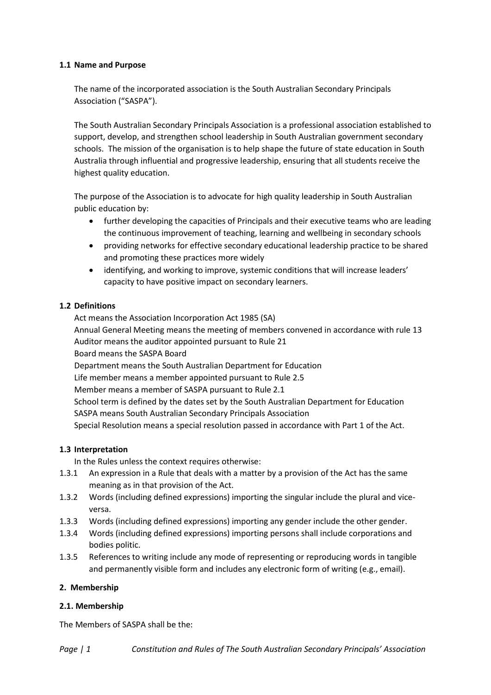#### **1.1 Name and Purpose**

The name of the incorporated association is the South Australian Secondary Principals Association ("SASPA").

The South Australian Secondary Principals Association is a professional association established to support, develop, and strengthen school leadership in South Australian government secondary schools. The mission of the organisation is to help shape the future of state education in South Australia through influential and progressive leadership, ensuring that all students receive the highest quality education.

The purpose of the Association is to advocate for high quality leadership in South Australian public education by:

- further developing the capacities of Principals and their executive teams who are leading the continuous improvement of teaching, learning and wellbeing in secondary schools
- providing networks for effective secondary educational leadership practice to be shared and promoting these practices more widely
- identifying, and working to improve, systemic conditions that will increase leaders' capacity to have positive impact on secondary learners.

#### **1.2 Definitions**

Act means the Association Incorporation Act 1985 (SA) Annual General Meeting means the meeting of members convened in accordance with rule 13 Auditor means the auditor appointed pursuant to Rule 21 Board means the SASPA Board Department means the South Australian Department for Education Life member means a member appointed pursuant to Rule 2.5 Member means a member of SASPA pursuant to Rule 2.1 School term is defined by the dates set by the South Australian Department for Education SASPA means South Australian Secondary Principals Association Special Resolution means a special resolution passed in accordance with Part 1 of the Act.

# **1.3 Interpretation**

In the Rules unless the context requires otherwise:

- 1.3.1 An expression in a Rule that deals with a matter by a provision of the Act has the same meaning as in that provision of the Act.
- 1.3.2 Words (including defined expressions) importing the singular include the plural and viceversa.
- 1.3.3 Words (including defined expressions) importing any gender include the other gender.
- 1.3.4 Words (including defined expressions) importing persons shall include corporations and bodies politic.
- 1.3.5 References to writing include any mode of representing or reproducing words in tangible and permanently visible form and includes any electronic form of writing (e.g., email).

#### **2. Membership**

#### **2.1. Membership**

The Members of SASPA shall be the: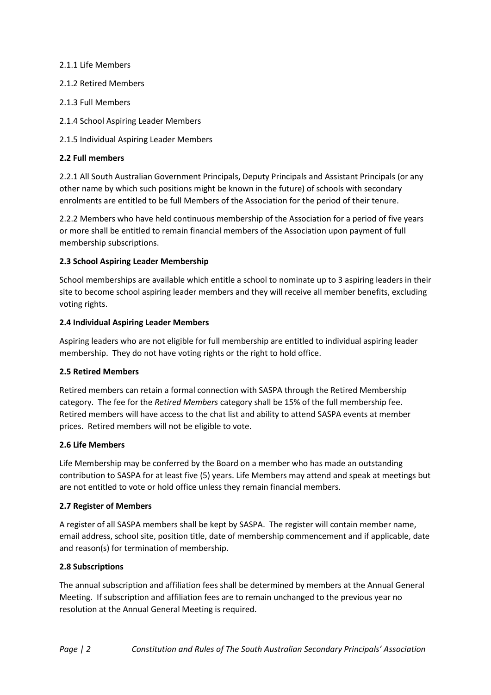#### 2.1.1 Life Members

#### 2.1.2 Retired Members

- 2.1.3 Full Members
- 2.1.4 School Aspiring Leader Members
- 2.1.5 Individual Aspiring Leader Members

# **2.2 Full members**

2.2.1 All South Australian Government Principals, Deputy Principals and Assistant Principals (or any other name by which such positions might be known in the future) of schools with secondary enrolments are entitled to be full Members of the Association for the period of their tenure.

2.2.2 Members who have held continuous membership of the Association for a period of five years or more shall be entitled to remain financial members of the Association upon payment of full membership subscriptions.

# **2.3 School Aspiring Leader Membership**

School memberships are available which entitle a school to nominate up to 3 aspiring leaders in their site to become school aspiring leader members and they will receive all member benefits, excluding voting rights.

#### **2.4 Individual Aspiring Leader Members**

Aspiring leaders who are not eligible for full membership are entitled to individual aspiring leader membership. They do not have voting rights or the right to hold office.

# **2.5 Retired Members**

Retired members can retain a formal connection with SASPA through the Retired Membership category. The fee for the *Retired Members* category shall be 15% of the full membership fee. Retired members will have access to the chat list and ability to attend SASPA events at member prices. Retired members will not be eligible to vote.

# **2.6 Life Members**

Life Membership may be conferred by the Board on a member who has made an outstanding contribution to SASPA for at least five (5) years. Life Members may attend and speak at meetings but are not entitled to vote or hold office unless they remain financial members.

# **2.7 Register of Members**

A register of all SASPA members shall be kept by SASPA. The register will contain member name, email address, school site, position title, date of membership commencement and if applicable, date and reason(s) for termination of membership.

# **2.8 Subscriptions**

The annual subscription and affiliation fees shall be determined by members at the Annual General Meeting. If subscription and affiliation fees are to remain unchanged to the previous year no resolution at the Annual General Meeting is required.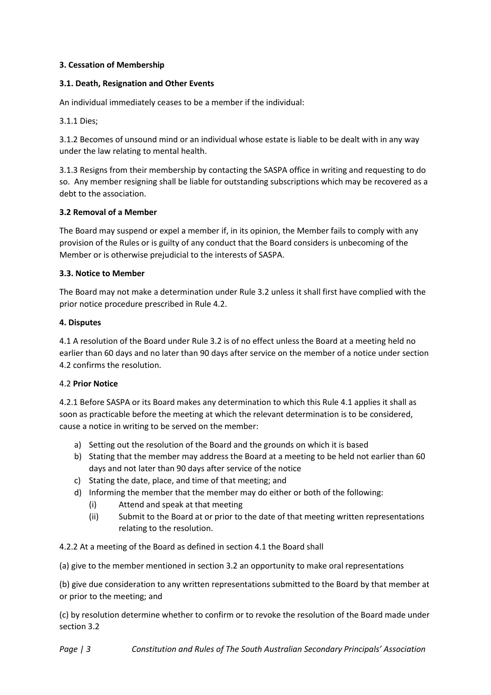# **3. Cessation of Membership**

# **3.1. Death, Resignation and Other Events**

An individual immediately ceases to be a member if the individual:

3.1.1 Dies;

3.1.2 Becomes of unsound mind or an individual whose estate is liable to be dealt with in any way under the law relating to mental health.

3.1.3 Resigns from their membership by contacting the SASPA office in writing and requesting to do so. Any member resigning shall be liable for outstanding subscriptions which may be recovered as a debt to the association.

# **3.2 Removal of a Member**

The Board may suspend or expel a member if, in its opinion, the Member fails to comply with any provision of the Rules or is guilty of any conduct that the Board considers is unbecoming of the Member or is otherwise prejudicial to the interests of SASPA.

# **3.3. Notice to Member**

The Board may not make a determination under Rule 3.2 unless it shall first have complied with the prior notice procedure prescribed in Rule 4.2.

# **4. Disputes**

4.1 A resolution of the Board under Rule 3.2 is of no effect unless the Board at a meeting held no earlier than 60 days and no later than 90 days after service on the member of a notice under section 4.2 confirms the resolution.

# 4.2 **Prior Notice**

4.2.1 Before SASPA or its Board makes any determination to which this Rule 4.1 applies it shall as soon as practicable before the meeting at which the relevant determination is to be considered, cause a notice in writing to be served on the member:

- a) Setting out the resolution of the Board and the grounds on which it is based
- b) Stating that the member may address the Board at a meeting to be held not earlier than 60 days and not later than 90 days after service of the notice
- c) Stating the date, place, and time of that meeting; and
- d) Informing the member that the member may do either or both of the following:
	- (i) Attend and speak at that meeting
	- (ii) Submit to the Board at or prior to the date of that meeting written representations relating to the resolution.

4.2.2 At a meeting of the Board as defined in section 4.1 the Board shall

(a) give to the member mentioned in section 3.2 an opportunity to make oral representations

(b) give due consideration to any written representations submitted to the Board by that member at or prior to the meeting; and

(c) by resolution determine whether to confirm or to revoke the resolution of the Board made under section 3.2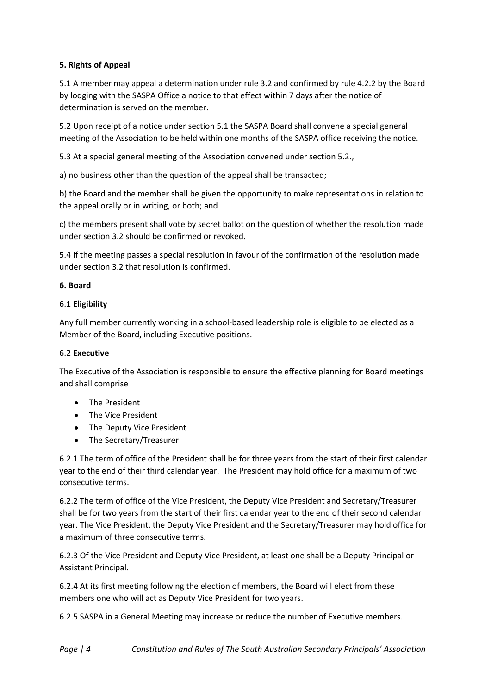# **5. Rights of Appeal**

5.1 A member may appeal a determination under rule 3.2 and confirmed by rule 4.2.2 by the Board by lodging with the SASPA Office a notice to that effect within 7 days after the notice of determination is served on the member.

5.2 Upon receipt of a notice under section 5.1 the SASPA Board shall convene a special general meeting of the Association to be held within one months of the SASPA office receiving the notice.

5.3 At a special general meeting of the Association convened under section 5.2.,

a) no business other than the question of the appeal shall be transacted;

b) the Board and the member shall be given the opportunity to make representations in relation to the appeal orally or in writing, or both; and

c) the members present shall vote by secret ballot on the question of whether the resolution made under section 3.2 should be confirmed or revoked.

5.4 If the meeting passes a special resolution in favour of the confirmation of the resolution made under section 3.2 that resolution is confirmed.

# **6. Board**

# 6.1 **Eligibility**

Any full member currently working in a school-based leadership role is eligible to be elected as a Member of the Board, including Executive positions.

# 6.2 **Executive**

The Executive of the Association is responsible to ensure the effective planning for Board meetings and shall comprise

- The President
- The Vice President
- The Deputy Vice President
- The Secretary/Treasurer

6.2.1 The term of office of the President shall be for three years from the start of their first calendar year to the end of their third calendar year. The President may hold office for a maximum of two consecutive terms.

6.2.2 The term of office of the Vice President, the Deputy Vice President and Secretary/Treasurer shall be for two years from the start of their first calendar year to the end of their second calendar year. The Vice President, the Deputy Vice President and the Secretary/Treasurer may hold office for a maximum of three consecutive terms.

6.2.3 Of the Vice President and Deputy Vice President, at least one shall be a Deputy Principal or Assistant Principal.

6.2.4 At its first meeting following the election of members, the Board will elect from these members one who will act as Deputy Vice President for two years.

6.2.5 SASPA in a General Meeting may increase or reduce the number of Executive members.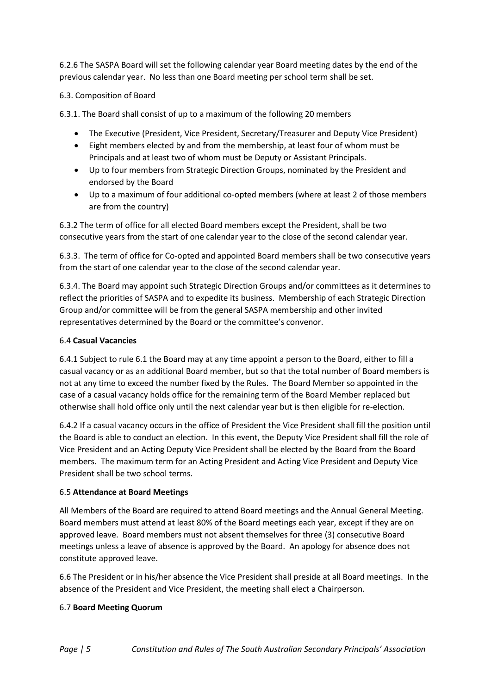6.2.6 The SASPA Board will set the following calendar year Board meeting dates by the end of the previous calendar year. No less than one Board meeting per school term shall be set.

#### 6.3. Composition of Board

6.3.1. The Board shall consist of up to a maximum of the following 20 members

- The Executive (President, Vice President, Secretary/Treasurer and Deputy Vice President)
- Eight members elected by and from the membership, at least four of whom must be Principals and at least two of whom must be Deputy or Assistant Principals.
- Up to four members from Strategic Direction Groups, nominated by the President and endorsed by the Board
- Up to a maximum of four additional co-opted members (where at least 2 of those members are from the country)

6.3.2 The term of office for all elected Board members except the President, shall be two consecutive years from the start of one calendar year to the close of the second calendar year.

6.3.3. The term of office for Co-opted and appointed Board members shall be two consecutive years from the start of one calendar year to the close of the second calendar year.

6.3.4. The Board may appoint such Strategic Direction Groups and/or committees as it determines to reflect the priorities of SASPA and to expedite its business. Membership of each Strategic Direction Group and/or committee will be from the general SASPA membership and other invited representatives determined by the Board or the committee's convenor.

#### 6.4 **Casual Vacancies**

6.4.1 Subject to rule 6.1 the Board may at any time appoint a person to the Board, either to fill a casual vacancy or as an additional Board member, but so that the total number of Board members is not at any time to exceed the number fixed by the Rules. The Board Member so appointed in the case of a casual vacancy holds office for the remaining term of the Board Member replaced but otherwise shall hold office only until the next calendar year but is then eligible for re-election.

6.4.2 If a casual vacancy occurs in the office of President the Vice President shall fill the position until the Board is able to conduct an election. In this event, the Deputy Vice President shall fill the role of Vice President and an Acting Deputy Vice President shall be elected by the Board from the Board members. The maximum term for an Acting President and Acting Vice President and Deputy Vice President shall be two school terms.

#### 6.5 **Attendance at Board Meetings**

All Members of the Board are required to attend Board meetings and the Annual General Meeting. Board members must attend at least 80% of the Board meetings each year, except if they are on approved leave. Board members must not absent themselves for three (3) consecutive Board meetings unless a leave of absence is approved by the Board. An apology for absence does not constitute approved leave.

6.6 The President or in his/her absence the Vice President shall preside at all Board meetings. In the absence of the President and Vice President, the meeting shall elect a Chairperson.

# 6.7 **Board Meeting Quorum**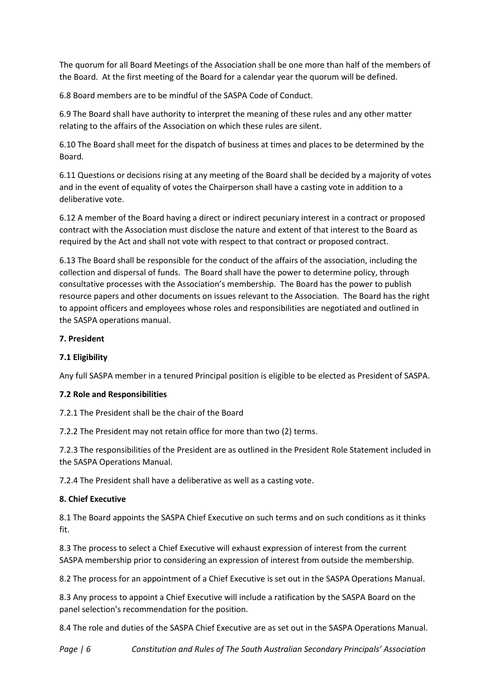The quorum for all Board Meetings of the Association shall be one more than half of the members of the Board. At the first meeting of the Board for a calendar year the quorum will be defined.

6.8 Board members are to be mindful of the SASPA Code of Conduct.

6.9 The Board shall have authority to interpret the meaning of these rules and any other matter relating to the affairs of the Association on which these rules are silent.

6.10 The Board shall meet for the dispatch of business at times and places to be determined by the Board.

6.11 Questions or decisions rising at any meeting of the Board shall be decided by a majority of votes and in the event of equality of votes the Chairperson shall have a casting vote in addition to a deliberative vote.

6.12 A member of the Board having a direct or indirect pecuniary interest in a contract or proposed contract with the Association must disclose the nature and extent of that interest to the Board as required by the Act and shall not vote with respect to that contract or proposed contract.

6.13 The Board shall be responsible for the conduct of the affairs of the association, including the collection and dispersal of funds. The Board shall have the power to determine policy, through consultative processes with the Association's membership. The Board has the power to publish resource papers and other documents on issues relevant to the Association. The Board has the right to appoint officers and employees whose roles and responsibilities are negotiated and outlined in the SASPA operations manual.

# **7. President**

# **7.1 Eligibility**

Any full SASPA member in a tenured Principal position is eligible to be elected as President of SASPA.

# **7.2 Role and Responsibilities**

7.2.1 The President shall be the chair of the Board

7.2.2 The President may not retain office for more than two (2) terms.

7.2.3 The responsibilities of the President are as outlined in the President Role Statement included in the SASPA Operations Manual.

7.2.4 The President shall have a deliberative as well as a casting vote.

# **8. Chief Executive**

8.1 The Board appoints the SASPA Chief Executive on such terms and on such conditions as it thinks fit.

8.3 The process to select a Chief Executive will exhaust expression of interest from the current SASPA membership prior to considering an expression of interest from outside the membership.

8.2 The process for an appointment of a Chief Executive is set out in the SASPA Operations Manual.

8.3 Any process to appoint a Chief Executive will include a ratification by the SASPA Board on the panel selection's recommendation for the position.

8.4 The role and duties of the SASPA Chief Executive are as set out in the SASPA Operations Manual.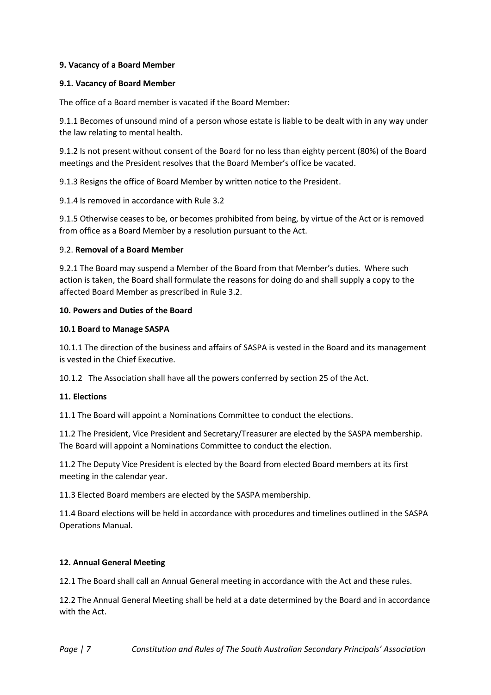#### **9. Vacancy of a Board Member**

#### **9.1. Vacancy of Board Member**

The office of a Board member is vacated if the Board Member:

9.1.1 Becomes of unsound mind of a person whose estate is liable to be dealt with in any way under the law relating to mental health.

9.1.2 Is not present without consent of the Board for no less than eighty percent (80%) of the Board meetings and the President resolves that the Board Member's office be vacated.

9.1.3 Resigns the office of Board Member by written notice to the President.

9.1.4 Is removed in accordance with Rule 3.2

9.1.5 Otherwise ceases to be, or becomes prohibited from being, by virtue of the Act or is removed from office as a Board Member by a resolution pursuant to the Act.

#### 9.2. **Removal of a Board Member**

9.2.1 The Board may suspend a Member of the Board from that Member's duties. Where such action is taken, the Board shall formulate the reasons for doing do and shall supply a copy to the affected Board Member as prescribed in Rule 3.2.

#### **10. Powers and Duties of the Board**

#### **10.1 Board to Manage SASPA**

10.1.1 The direction of the business and affairs of SASPA is vested in the Board and its management is vested in the Chief Executive.

10.1.2 The Association shall have all the powers conferred by section 25 of the Act.

# **11. Elections**

11.1 The Board will appoint a Nominations Committee to conduct the elections.

11.2 The President, Vice President and Secretary/Treasurer are elected by the SASPA membership. The Board will appoint a Nominations Committee to conduct the election.

11.2 The Deputy Vice President is elected by the Board from elected Board members at its first meeting in the calendar year.

11.3 Elected Board members are elected by the SASPA membership.

11.4 Board elections will be held in accordance with procedures and timelines outlined in the SASPA Operations Manual.

#### **12. Annual General Meeting**

12.1 The Board shall call an Annual General meeting in accordance with the Act and these rules.

12.2 The Annual General Meeting shall be held at a date determined by the Board and in accordance with the Act.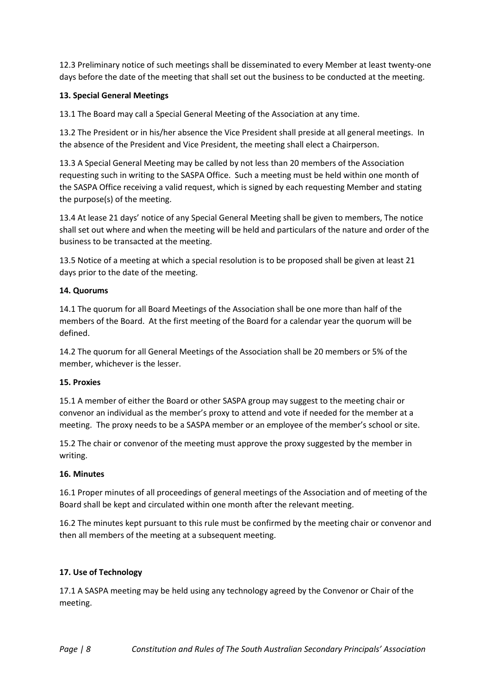12.3 Preliminary notice of such meetings shall be disseminated to every Member at least twenty-one days before the date of the meeting that shall set out the business to be conducted at the meeting.

# **13. Special General Meetings**

13.1 The Board may call a Special General Meeting of the Association at any time.

13.2 The President or in his/her absence the Vice President shall preside at all general meetings. In the absence of the President and Vice President, the meeting shall elect a Chairperson.

13.3 A Special General Meeting may be called by not less than 20 members of the Association requesting such in writing to the SASPA Office. Such a meeting must be held within one month of the SASPA Office receiving a valid request, which is signed by each requesting Member and stating the purpose(s) of the meeting.

13.4 At lease 21 days' notice of any Special General Meeting shall be given to members, The notice shall set out where and when the meeting will be held and particulars of the nature and order of the business to be transacted at the meeting.

13.5 Notice of a meeting at which a special resolution is to be proposed shall be given at least 21 days prior to the date of the meeting.

# **14. Quorums**

14.1 The quorum for all Board Meetings of the Association shall be one more than half of the members of the Board. At the first meeting of the Board for a calendar year the quorum will be defined.

14.2 The quorum for all General Meetings of the Association shall be 20 members or 5% of the member, whichever is the lesser.

# **15. Proxies**

15.1 A member of either the Board or other SASPA group may suggest to the meeting chair or convenor an individual as the member's proxy to attend and vote if needed for the member at a meeting. The proxy needs to be a SASPA member or an employee of the member's school or site.

15.2 The chair or convenor of the meeting must approve the proxy suggested by the member in writing.

# **16. Minutes**

16.1 Proper minutes of all proceedings of general meetings of the Association and of meeting of the Board shall be kept and circulated within one month after the relevant meeting.

16.2 The minutes kept pursuant to this rule must be confirmed by the meeting chair or convenor and then all members of the meeting at a subsequent meeting.

# **17. Use of Technology**

17.1 A SASPA meeting may be held using any technology agreed by the Convenor or Chair of the meeting.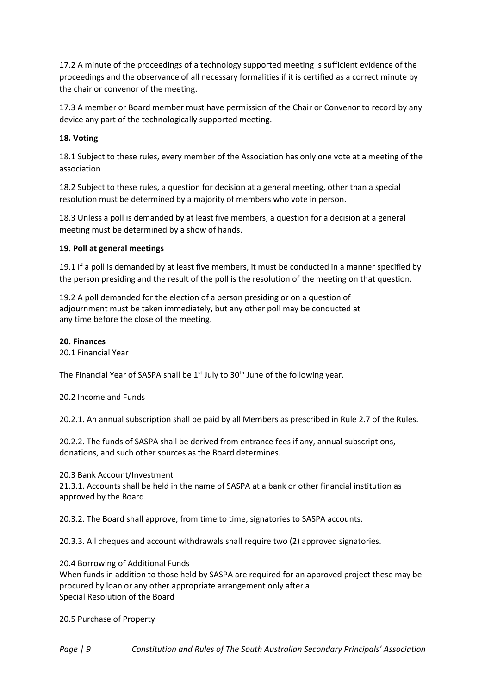17.2 A minute of the proceedings of a technology supported meeting is sufficient evidence of the proceedings and the observance of all necessary formalities if it is certified as a correct minute by the chair or convenor of the meeting.

17.3 A member or Board member must have permission of the Chair or Convenor to record by any device any part of the technologically supported meeting.

# **18. Voting**

18.1 Subject to these rules, every member of the Association has only one vote at a meeting of the association

18.2 Subject to these rules, a question for decision at a general meeting, other than a special resolution must be determined by a majority of members who vote in person.

18.3 Unless a poll is demanded by at least five members, a question for a decision at a general meeting must be determined by a show of hands.

# **19. Poll at general meetings**

19.1 If a poll is demanded by at least five members, it must be conducted in a manner specified by the person presiding and the result of the poll is the resolution of the meeting on that question.

19.2 A poll demanded for the election of a person presiding or on a question of adjournment must be taken immediately, but any other poll may be conducted at any time before the close of the meeting.

#### **20. Finances**

20.1 Financial Year

The Financial Year of SASPA shall be  $1<sup>st</sup>$  July to 30<sup>th</sup> June of the following year.

20.2 Income and Funds

20.2.1. An annual subscription shall be paid by all Members as prescribed in Rule 2.7 of the Rules.

20.2.2. The funds of SASPA shall be derived from entrance fees if any, annual subscriptions, donations, and such other sources as the Board determines.

20.3 Bank Account/Investment

21.3.1. Accounts shall be held in the name of SASPA at a bank or other financial institution as approved by the Board.

20.3.2. The Board shall approve, from time to time, signatories to SASPA accounts.

20.3.3. All cheques and account withdrawals shall require two (2) approved signatories.

20.4 Borrowing of Additional Funds

When funds in addition to those held by SASPA are required for an approved project these may be procured by loan or any other appropriate arrangement only after a Special Resolution of the Board

20.5 Purchase of Property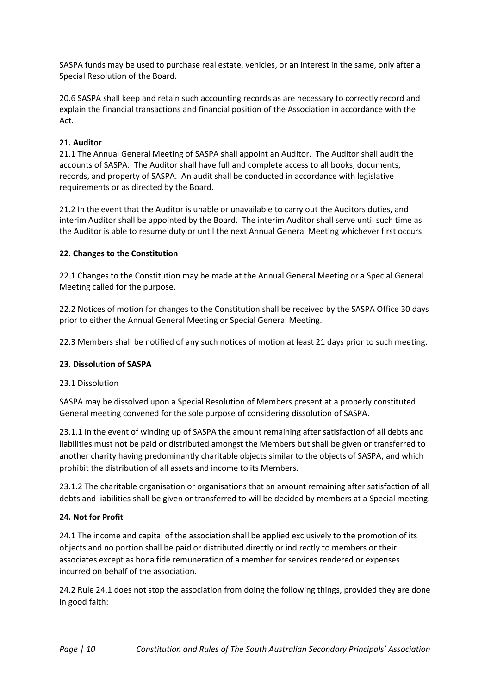SASPA funds may be used to purchase real estate, vehicles, or an interest in the same, only after a Special Resolution of the Board.

20.6 SASPA shall keep and retain such accounting records as are necessary to correctly record and explain the financial transactions and financial position of the Association in accordance with the Act.

#### **21. Auditor**

21.1 The Annual General Meeting of SASPA shall appoint an Auditor. The Auditor shall audit the accounts of SASPA. The Auditor shall have full and complete access to all books, documents, records, and property of SASPA. An audit shall be conducted in accordance with legislative requirements or as directed by the Board.

21.2 In the event that the Auditor is unable or unavailable to carry out the Auditors duties, and interim Auditor shall be appointed by the Board. The interim Auditor shall serve until such time as the Auditor is able to resume duty or until the next Annual General Meeting whichever first occurs.

#### **22. Changes to the Constitution**

22.1 Changes to the Constitution may be made at the Annual General Meeting or a Special General Meeting called for the purpose.

22.2 Notices of motion for changes to the Constitution shall be received by the SASPA Office 30 days prior to either the Annual General Meeting or Special General Meeting.

22.3 Members shall be notified of any such notices of motion at least 21 days prior to such meeting.

#### **23. Dissolution of SASPA**

#### 23.1 Dissolution

SASPA may be dissolved upon a Special Resolution of Members present at a properly constituted General meeting convened for the sole purpose of considering dissolution of SASPA.

23.1.1 In the event of winding up of SASPA the amount remaining after satisfaction of all debts and liabilities must not be paid or distributed amongst the Members but shall be given or transferred to another charity having predominantly charitable objects similar to the objects of SASPA, and which prohibit the distribution of all assets and income to its Members.

23.1.2 The charitable organisation or organisations that an amount remaining after satisfaction of all debts and liabilities shall be given or transferred to will be decided by members at a Special meeting.

#### **24. Not for Profit**

24.1 The income and capital of the association shall be applied exclusively to the promotion of its objects and no portion shall be paid or distributed directly or indirectly to members or their associates except as bona fide remuneration of a member for services rendered or expenses incurred on behalf of the association.

24.2 Rule 24.1 does not stop the association from doing the following things, provided they are done in good faith: